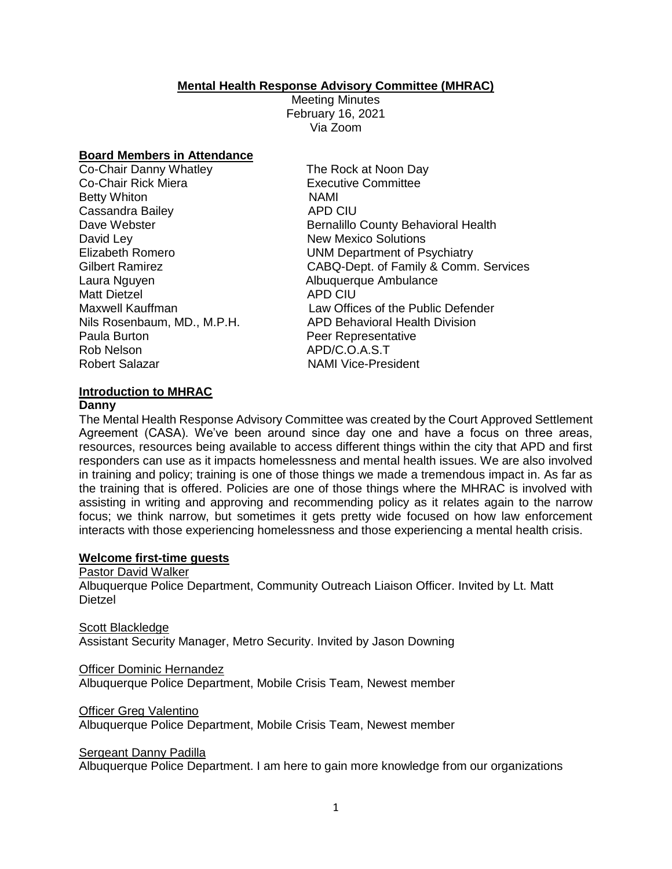### **Mental Health Response Advisory Committee (MHRAC)**

Meeting Minutes February 16, 2021 Via Zoom

### **Board Members in Attendance**

| Co-Chair Danny Whatley      | The R       |
|-----------------------------|-------------|
| Co-Chair Rick Miera         | Execu       |
| <b>Betty Whiton</b>         | <b>NAMI</b> |
| Cassandra Bailey            | APD (       |
| Dave Webster                | Berna       |
| David Ley                   | New N       |
| <b>Elizabeth Romero</b>     | <b>UNM</b>  |
| <b>Gilbert Ramirez</b>      | CABC        |
| Laura Nguyen                | Albuq       |
| <b>Matt Dietzel</b>         | APD (       |
| Maxwell Kauffman            | Law (       |
| Nils Rosenbaum, MD., M.P.H. | APD I       |
| Paula Burton                | Peer I      |
| <b>Rob Nelson</b>           | APD/        |
| <b>Robert Salazar</b>       | NAMI        |
|                             |             |

The Rock at Noon Day Executive Committee APD CIU Bernalillo County Behavioral Health **New Mexico Solutions** UNM Department of Psychiatry CABQ-Dept. of Family & Comm. Services Albuquerque Ambulance **APD CIU** Law Offices of the Public Defender APD Behavioral Health Division Peer Representative APD/C.O.A.S.T **NAMI Vice-President** 

## **Introduction to MHRAC**

### **Danny**

The Mental Health Response Advisory Committee was created by the Court Approved Settlement Agreement (CASA). We've been around since day one and have a focus on three areas, resources, resources being available to access different things within the city that APD and first responders can use as it impacts homelessness and mental health issues. We are also involved in training and policy; training is one of those things we made a tremendous impact in. As far as the training that is offered. Policies are one of those things where the MHRAC is involved with assisting in writing and approving and recommending policy as it relates again to the narrow focus; we think narrow, but sometimes it gets pretty wide focused on how law enforcement interacts with those experiencing homelessness and those experiencing a mental health crisis.

## **Welcome first-time guests**

Pastor David Walker

Albuquerque Police Department, Community Outreach Liaison Officer. Invited by Lt. Matt Dietzel

Scott Blackledge Assistant Security Manager, Metro Security. Invited by Jason Downing

Officer Dominic Hernandez

Albuquerque Police Department, Mobile Crisis Team, Newest member

### Officer Greg Valentino

Albuquerque Police Department, Mobile Crisis Team, Newest member

Sergeant Danny Padilla

Albuquerque Police Department. I am here to gain more knowledge from our organizations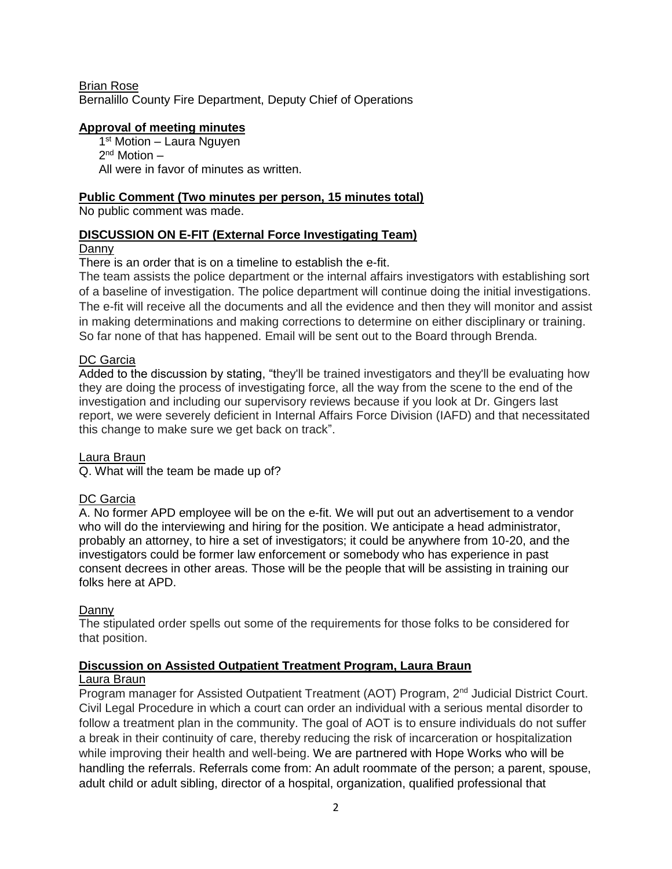Brian Rose Bernalillo County Fire Department, Deputy Chief of Operations

### **Approval of meeting minutes**

1<sup>st</sup> Motion - Laura Nguyen 2<sup>nd</sup> Motion – All were in favor of minutes as written.

### **Public Comment (Two minutes per person, 15 minutes total)**

No public comment was made.

### **DISCUSSION ON E-FIT (External Force Investigating Team)**

# **Danny**

There is an order that is on a timeline to establish the e-fit.

The team assists the police department or the internal affairs investigators with establishing sort of a baseline of investigation. The police department will continue doing the initial investigations. The e-fit will receive all the documents and all the evidence and then they will monitor and assist in making determinations and making corrections to determine on either disciplinary or training. So far none of that has happened. Email will be sent out to the Board through Brenda.

### DC Garcia

Added to the discussion by stating, "they'll be trained investigators and they'll be evaluating how they are doing the process of investigating force, all the way from the scene to the end of the investigation and including our supervisory reviews because if you look at Dr. Gingers last report, we were severely deficient in Internal Affairs Force Division (IAFD) and that necessitated this change to make sure we get back on track".

## Laura Braun

Q. What will the team be made up of?

## DC Garcia

A. No former APD employee will be on the e-fit. We will put out an advertisement to a vendor who will do the interviewing and hiring for the position. We anticipate a head administrator, probably an attorney, to hire a set of investigators; it could be anywhere from 10-20, and the investigators could be former law enforcement or somebody who has experience in past consent decrees in other areas. Those will be the people that will be assisting in training our folks here at APD.

### Danny

The stipulated order spells out some of the requirements for those folks to be considered for that position.

## **Discussion on Assisted Outpatient Treatment Program, Laura Braun**

### Laura Braun

Program manager for Assisted Outpatient Treatment (AOT) Program, 2<sup>nd</sup> Judicial District Court. Civil Legal Procedure in which a court can order an individual with a serious mental disorder to follow a treatment plan in the community. The goal of AOT is to ensure individuals do not suffer a break in their continuity of care, thereby reducing the risk of incarceration or hospitalization while improving their health and well-being. We are partnered with Hope Works who will be handling the referrals. Referrals come from: An adult roommate of the person; a parent, spouse, adult child or adult sibling, director of a hospital, organization, qualified professional that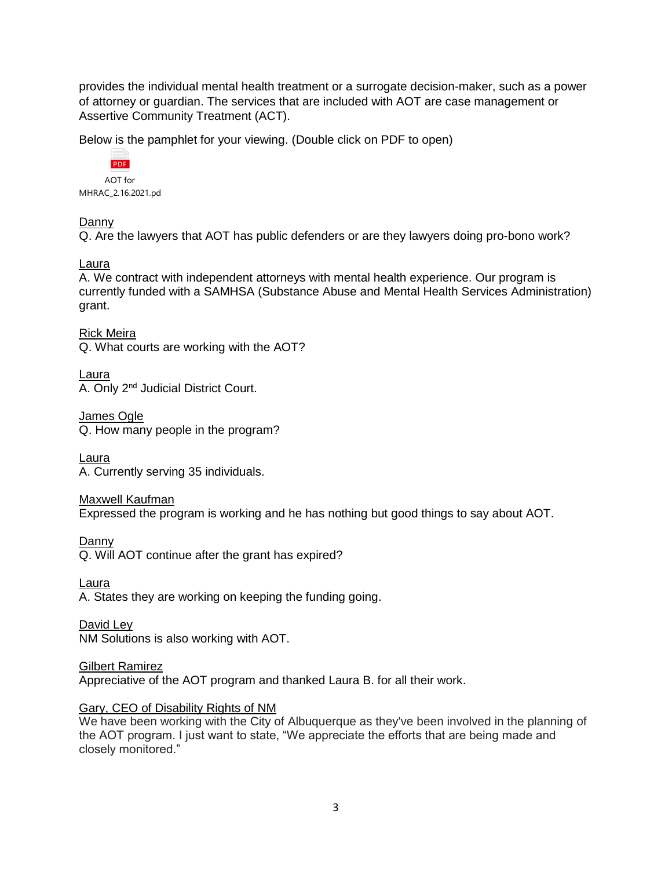provides the individual mental health treatment or a surrogate decision-maker, such as a power of attorney or guardian. The services that are included with AOT are case management or Assertive Community Treatment (ACT).

Below is the pamphlet for your viewing. (Double click on PDF to open)



# Danny

Q. Are the lawyers that AOT has public defenders or are they lawyers doing pro-bono work?

## Laura

A. We contract with independent attorneys with mental health experience. Our program is currently funded with a SAMHSA (Substance Abuse and Mental Health Services Administration) grant.

Rick Meira Q. What courts are working with the AOT?

Laura A. Only 2nd Judicial District Court.

James Ogle Q. How many people in the program?

Laura A. Currently serving 35 individuals.

Maxwell Kaufman Expressed the program is working and he has nothing but good things to say about AOT.

Danny

Q. Will AOT continue after the grant has expired?

Laura

A. States they are working on keeping the funding going.

David Ley NM Solutions is also working with AOT.

**Gilbert Ramirez** Appreciative of the AOT program and thanked Laura B. for all their work.

## Gary, CEO of Disability Rights of NM

We have been working with the City of Albuquerque as they've been involved in the planning of the AOT program. I just want to state, "We appreciate the efforts that are being made and closely monitored."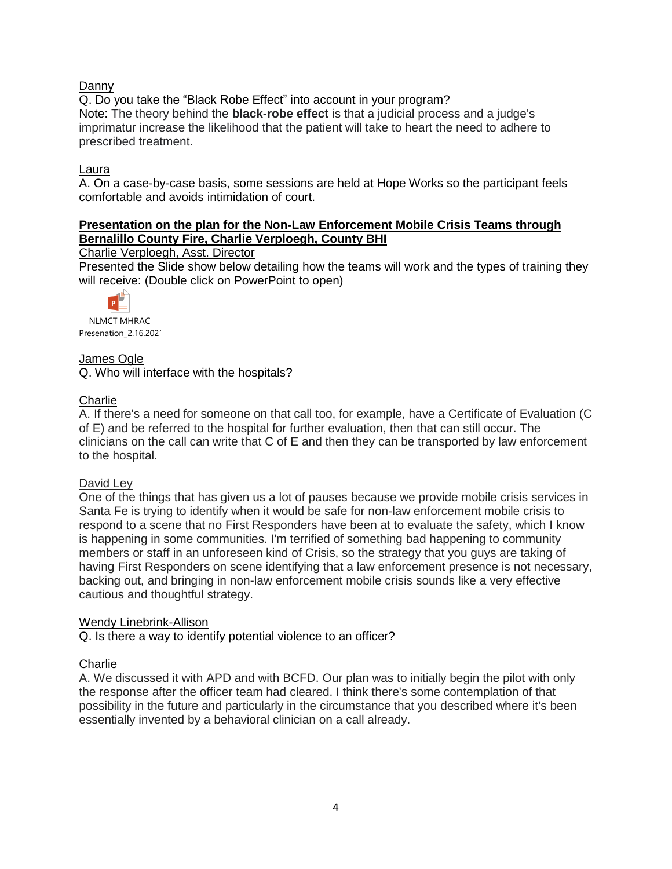## Danny

Q. Do you take the "Black Robe Effect" into account in your program? Note: The theory behind the **black**-**robe effect** is that a judicial process and a judge's imprimatur increase the likelihood that the patient will take to heart the need to adhere to prescribed treatment.

### Laura

A. On a case-by-case basis, some sessions are held at Hope Works so the participant feels comfortable and avoids intimidation of court.

## **Presentation on the plan for the Non-Law Enforcement Mobile Crisis Teams through Bernalillo County Fire, Charlie Verploegh, County BHI**

### Charlie Verploegh, Asst. Director

Presented the Slide show below detailing how the teams will work and the types of training they will receive: (Double click on PowerPoint to open)



NLMCT MHRAC Presenation\_2.16.202<sup>-</sup>

### James Ogle

Q. Who will interface with the hospitals?

### **Charlie**

A. If there's a need for someone on that call too, for example, have a Certificate of Evaluation (C of E) and be referred to the hospital for further evaluation, then that can still occur. The clinicians on the call can write that C of E and then they can be transported by law enforcement to the hospital.

### David Ley

One of the things that has given us a lot of pauses because we provide mobile crisis services in Santa Fe is trying to identify when it would be safe for non-law enforcement mobile crisis to respond to a scene that no First Responders have been at to evaluate the safety, which I know is happening in some communities. I'm terrified of something bad happening to community members or staff in an unforeseen kind of Crisis, so the strategy that you guys are taking of having First Responders on scene identifying that a law enforcement presence is not necessary, backing out, and bringing in non-law enforcement mobile crisis sounds like a very effective cautious and thoughtful strategy.

### Wendy Linebrink-Allison

Q. Is there a way to identify potential violence to an officer?

## **Charlie**

A. We discussed it with APD and with BCFD. Our plan was to initially begin the pilot with only the response after the officer team had cleared. I think there's some contemplation of that possibility in the future and particularly in the circumstance that you described where it's been essentially invented by a behavioral clinician on a call already.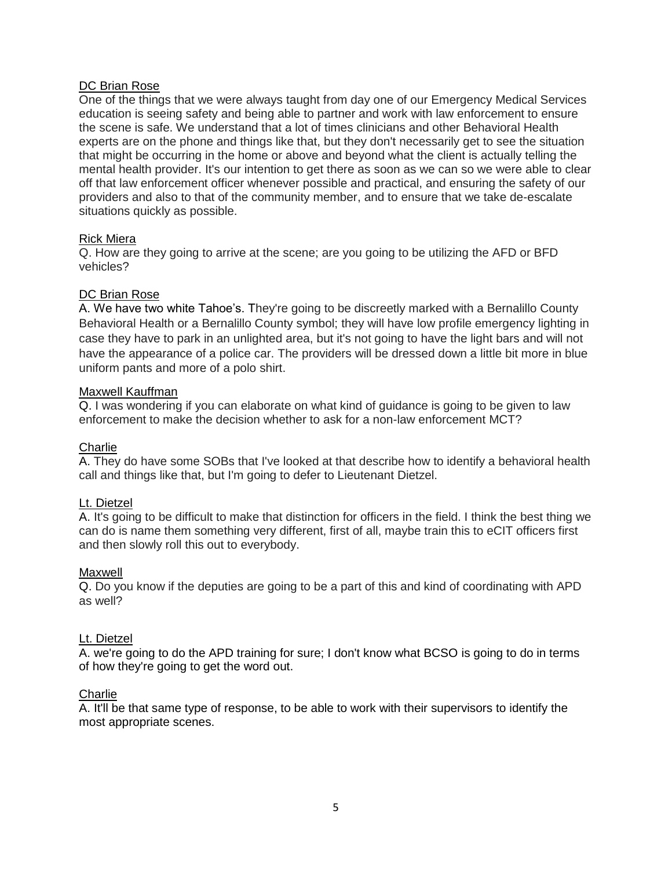## DC Brian Rose

One of the things that we were always taught from day one of our Emergency Medical Services education is seeing safety and being able to partner and work with law enforcement to ensure the scene is safe. We understand that a lot of times clinicians and other Behavioral Health experts are on the phone and things like that, but they don't necessarily get to see the situation that might be occurring in the home or above and beyond what the client is actually telling the mental health provider. It's our intention to get there as soon as we can so we were able to clear off that law enforcement officer whenever possible and practical, and ensuring the safety of our providers and also to that of the community member, and to ensure that we take de-escalate situations quickly as possible.

### Rick Miera

Q. How are they going to arrive at the scene; are you going to be utilizing the AFD or BFD vehicles?

### DC Brian Rose

A. We have two white Tahoe's. They're going to be discreetly marked with a Bernalillo County Behavioral Health or a Bernalillo County symbol; they will have low profile emergency lighting in case they have to park in an unlighted area, but it's not going to have the light bars and will not have the appearance of a police car. The providers will be dressed down a little bit more in blue uniform pants and more of a polo shirt.

### Maxwell Kauffman

Q. I was wondering if you can elaborate on what kind of guidance is going to be given to law enforcement to make the decision whether to ask for a non-law enforcement MCT?

## **Charlie**

A. They do have some SOBs that I've looked at that describe how to identify a behavioral health call and things like that, but I'm going to defer to Lieutenant Dietzel.

## Lt. Dietzel

A. It's going to be difficult to make that distinction for officers in the field. I think the best thing we can do is name them something very different, first of all, maybe train this to eCIT officers first and then slowly roll this out to everybody.

### Maxwell

Q. Do you know if the deputies are going to be a part of this and kind of coordinating with APD as well?

### Lt. Dietzel

A. we're going to do the APD training for sure; I don't know what BCSO is going to do in terms of how they're going to get the word out.

### **Charlie**

A. It'll be that same type of response, to be able to work with their supervisors to identify the most appropriate scenes.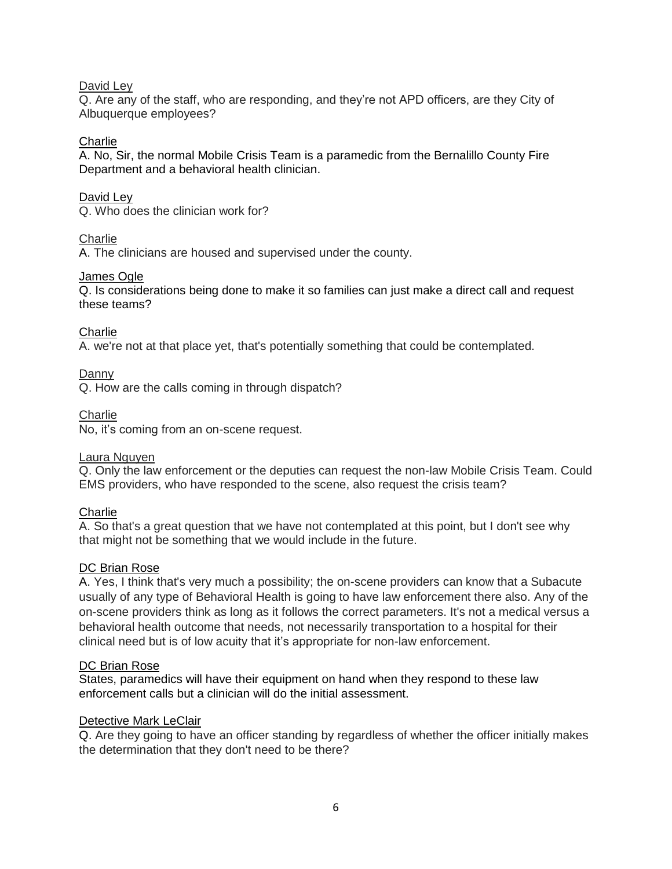## David Ley

Q. Are any of the staff, who are responding, and they're not APD officers, are they City of Albuquerque employees?

### **Charlie**

A. No, Sir, the normal Mobile Crisis Team is a paramedic from the Bernalillo County Fire Department and a behavioral health clinician.

### David Ley

Q. Who does the clinician work for?

### **Charlie**

A. The clinicians are housed and supervised under the county.

### James Ogle

Q. Is considerations being done to make it so families can just make a direct call and request these teams?

**Charlie** 

A. we're not at that place yet, that's potentially something that could be contemplated.

Danny

Q. How are the calls coming in through dispatch?

## **Charlie**

No, it's coming from an on-scene request.

## Laura Nguyen

Q. Only the law enforcement or the deputies can request the non-law Mobile Crisis Team. Could EMS providers, who have responded to the scene, also request the crisis team?

## **Charlie**

A. So that's a great question that we have not contemplated at this point, but I don't see why that might not be something that we would include in the future.

### DC Brian Rose

A. Yes, I think that's very much a possibility; the on-scene providers can know that a Subacute usually of any type of Behavioral Health is going to have law enforcement there also. Any of the on-scene providers think as long as it follows the correct parameters. It's not a medical versus a behavioral health outcome that needs, not necessarily transportation to a hospital for their clinical need but is of low acuity that it's appropriate for non-law enforcement.

### DC Brian Rose

States, paramedics will have their equipment on hand when they respond to these law enforcement calls but a clinician will do the initial assessment.

### Detective Mark LeClair

Q. Are they going to have an officer standing by regardless of whether the officer initially makes the determination that they don't need to be there?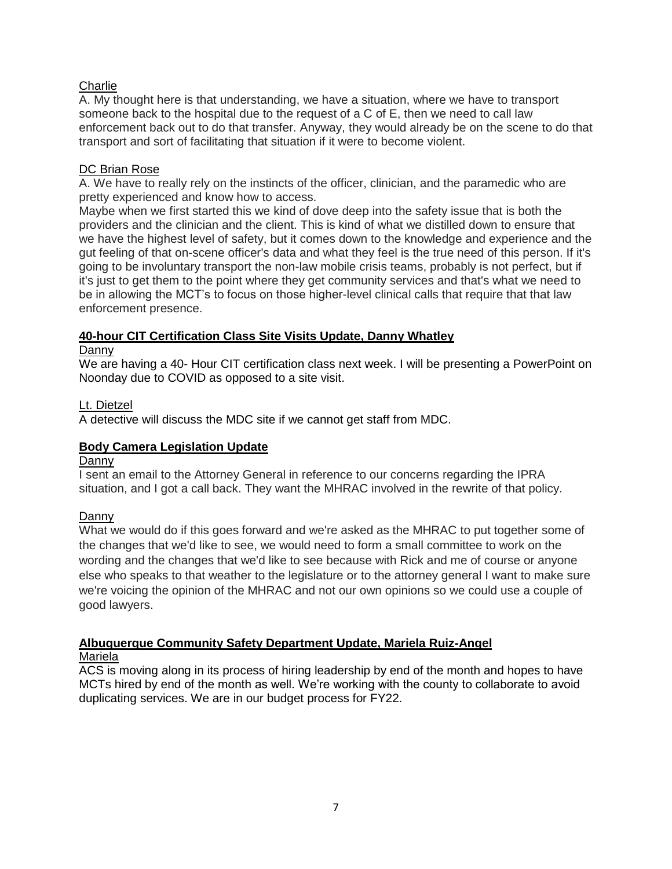## **Charlie**

A. My thought here is that understanding, we have a situation, where we have to transport someone back to the hospital due to the request of a C of E, then we need to call law enforcement back out to do that transfer. Anyway, they would already be on the scene to do that transport and sort of facilitating that situation if it were to become violent.

### DC Brian Rose

A. We have to really rely on the instincts of the officer, clinician, and the paramedic who are pretty experienced and know how to access.

Maybe when we first started this we kind of dove deep into the safety issue that is both the providers and the clinician and the client. This is kind of what we distilled down to ensure that we have the highest level of safety, but it comes down to the knowledge and experience and the gut feeling of that on-scene officer's data and what they feel is the true need of this person. If it's going to be involuntary transport the non-law mobile crisis teams, probably is not perfect, but if it's just to get them to the point where they get community services and that's what we need to be in allowing the MCT's to focus on those higher-level clinical calls that require that that law enforcement presence.

## **40-hour CIT Certification Class Site Visits Update, Danny Whatley**

### Danny

We are having a 40- Hour CIT certification class next week. I will be presenting a PowerPoint on Noonday due to COVID as opposed to a site visit.

### Lt. Dietzel

A detective will discuss the MDC site if we cannot get staff from MDC.

## **Body Camera Legislation Update**

### Danny

I sent an email to the Attorney General in reference to our concerns regarding the IPRA situation, and I got a call back. They want the MHRAC involved in the rewrite of that policy.

## Danny

What we would do if this goes forward and we're asked as the MHRAC to put together some of the changes that we'd like to see, we would need to form a small committee to work on the wording and the changes that we'd like to see because with Rick and me of course or anyone else who speaks to that weather to the legislature or to the attorney general I want to make sure we're voicing the opinion of the MHRAC and not our own opinions so we could use a couple of good lawyers.

# **Albuquerque Community Safety Department Update, Mariela Ruiz-Angel**

## Mariela

ACS is moving along in its process of hiring leadership by end of the month and hopes to have MCTs hired by end of the month as well. We're working with the county to collaborate to avoid duplicating services. We are in our budget process for FY22.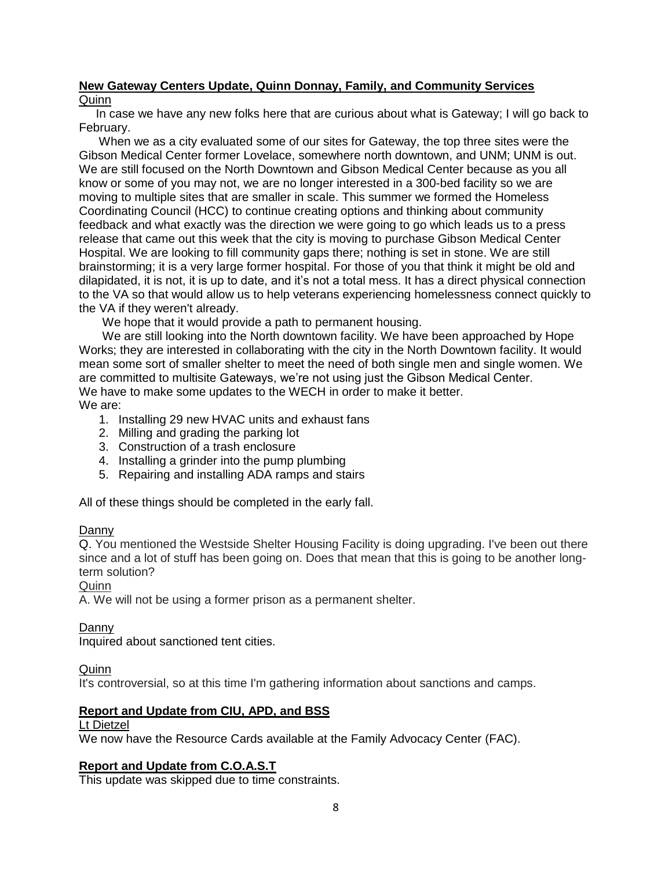## **New Gateway Centers Update, Quinn Donnay, Family, and Community Services** Quinn

 In case we have any new folks here that are curious about what is Gateway; I will go back to February.

 When we as a city evaluated some of our sites for Gateway, the top three sites were the Gibson Medical Center former Lovelace, somewhere north downtown, and UNM; UNM is out. We are still focused on the North Downtown and Gibson Medical Center because as you all know or some of you may not, we are no longer interested in a 300-bed facility so we are moving to multiple sites that are smaller in scale. This summer we formed the Homeless Coordinating Council (HCC) to continue creating options and thinking about community feedback and what exactly was the direction we were going to go which leads us to a press release that came out this week that the city is moving to purchase Gibson Medical Center Hospital. We are looking to fill community gaps there; nothing is set in stone. We are still brainstorming; it is a very large former hospital. For those of you that think it might be old and dilapidated, it is not, it is up to date, and it's not a total mess. It has a direct physical connection to the VA so that would allow us to help veterans experiencing homelessness connect quickly to the VA if they weren't already.

We hope that it would provide a path to permanent housing.

 We are still looking into the North downtown facility. We have been approached by Hope Works; they are interested in collaborating with the city in the North Downtown facility. It would mean some sort of smaller shelter to meet the need of both single men and single women. We are committed to multisite Gateways, we're not using just the Gibson Medical Center. We have to make some updates to the WECH in order to make it better. We are:

- 1. Installing 29 new HVAC units and exhaust fans
- 2. Milling and grading the parking lot
- 3. Construction of a trash enclosure
- 4. Installing a grinder into the pump plumbing
- 5. Repairing and installing ADA ramps and stairs

All of these things should be completed in the early fall.

### Danny

Q. You mentioned the Westside Shelter Housing Facility is doing upgrading. I've been out there since and a lot of stuff has been going on. Does that mean that this is going to be another longterm solution?

Quinn

A. We will not be using a former prison as a permanent shelter.

### Danny

Inquired about sanctioned tent cities.

## **Quinn**

It's controversial, so at this time I'm gathering information about sanctions and camps.

## **Report and Update from CIU, APD, and BSS**

## Lt Dietzel

We now have the Resource Cards available at the Family Advocacy Center (FAC).

## **Report and Update from C.O.A.S.T**

This update was skipped due to time constraints.